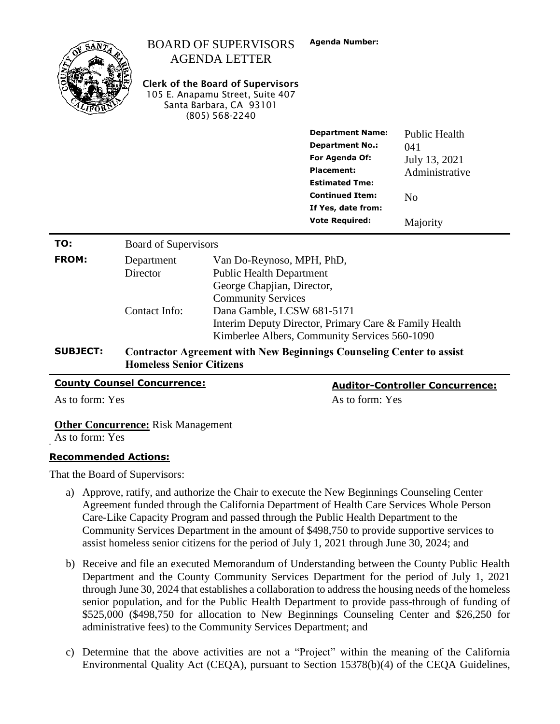|                 |                                                                                                                | <b>BOARD OF SUPERVISORS</b><br><b>AGENDA LETTER</b><br><b>Clerk of the Board of Supervisors</b><br>105 E. Anapamu Street, Suite 407<br>Santa Barbara, CA 93101<br>(805) 568-2240 | <b>Agenda Number:</b>                         |                                        |  |
|-----------------|----------------------------------------------------------------------------------------------------------------|----------------------------------------------------------------------------------------------------------------------------------------------------------------------------------|-----------------------------------------------|----------------------------------------|--|
|                 |                                                                                                                |                                                                                                                                                                                  | <b>Department Name:</b>                       | <b>Public Health</b>                   |  |
|                 |                                                                                                                |                                                                                                                                                                                  | <b>Department No.:</b>                        | 041                                    |  |
|                 |                                                                                                                |                                                                                                                                                                                  | For Agenda Of:                                | July 13, 2021                          |  |
|                 |                                                                                                                |                                                                                                                                                                                  | <b>Placement:</b><br><b>Estimated Tme:</b>    | Administrative                         |  |
|                 |                                                                                                                |                                                                                                                                                                                  | <b>Continued Item:</b>                        | N <sub>o</sub>                         |  |
|                 |                                                                                                                |                                                                                                                                                                                  | If Yes, date from:                            |                                        |  |
|                 |                                                                                                                |                                                                                                                                                                                  | <b>Vote Required:</b>                         | Majority                               |  |
| TO:             | Board of Supervisors                                                                                           |                                                                                                                                                                                  |                                               |                                        |  |
| <b>FROM:</b>    | Department                                                                                                     | Van Do-Reynoso, MPH, PhD,                                                                                                                                                        |                                               |                                        |  |
|                 | <b>Director</b>                                                                                                | <b>Public Health Department</b>                                                                                                                                                  |                                               |                                        |  |
|                 |                                                                                                                | George Chapjian, Director,                                                                                                                                                       |                                               |                                        |  |
|                 | <b>Community Services</b>                                                                                      |                                                                                                                                                                                  |                                               |                                        |  |
|                 | Contact Info:                                                                                                  | Dana Gamble, LCSW 681-5171<br>Interim Deputy Director, Primary Care & Family Health                                                                                              |                                               |                                        |  |
|                 |                                                                                                                |                                                                                                                                                                                  |                                               |                                        |  |
|                 |                                                                                                                |                                                                                                                                                                                  | Kimberlee Albers, Community Services 560-1090 |                                        |  |
| <b>SUBJECT:</b> | <b>Contractor Agreement with New Beginnings Counseling Center to assist</b><br><b>Homeless Senior Citizens</b> |                                                                                                                                                                                  |                                               |                                        |  |
|                 | <b>County Counsel Concurrence:</b>                                                                             |                                                                                                                                                                                  |                                               | <b>Auditor-Controller Concurrence:</b> |  |
| As to form: Yes |                                                                                                                |                                                                                                                                                                                  | As to form: Yes                               |                                        |  |

**Other Concurrence:** Risk Management

As to form: Yes

### **Recommended Actions:**

That the Board of Supervisors:

- a) Approve, ratify, and authorize the Chair to execute the New Beginnings Counseling Center Agreement funded through the California Department of Health Care Services Whole Person Care-Like Capacity Program and passed through the Public Health Department to the Community Services Department in the amount of \$498,750 to provide supportive services to assist homeless senior citizens for the period of July 1, 2021 through June 30, 2024; and
- b) Receive and file an executed Memorandum of Understanding between the County Public Health Department and the County Community Services Department for the period of July 1, 2021 through June 30, 2024 that establishes a collaboration to address the housing needs of the homeless senior population, and for the Public Health Department to provide pass-through of funding of \$525,000 (\$498,750 for allocation to New Beginnings Counseling Center and \$26,250 for administrative fees) to the Community Services Department; and
- c) Determine that the above activities are not a "Project" within the meaning of the California Environmental Quality Act (CEQA), pursuant to Section 15378(b)(4) of the CEQA Guidelines,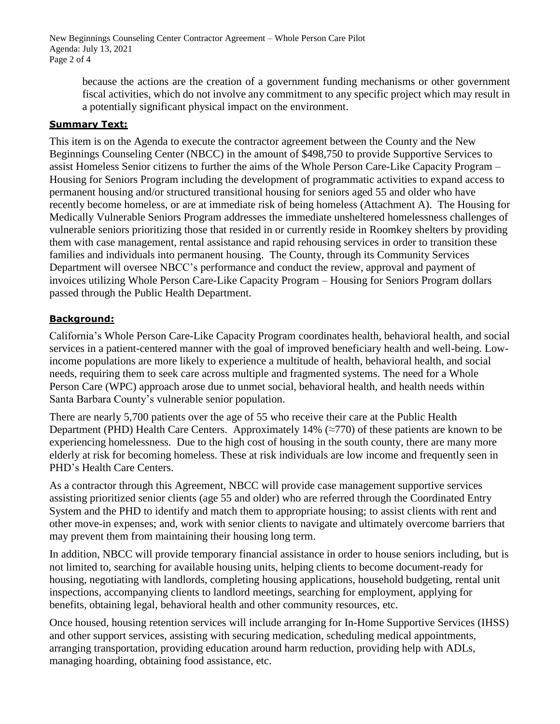New Beginnings Counseling Center Contractor Agreement – Whole Person Care Pilot Agenda: July 13, 2021 Page 2 of 4

> because the actions are the creation of a government funding mechanisms or other government fiscal activities, which do not involve any commitment to any specific project which may result in a potentially significant physical impact on the environment.

# **Summary Text:**

This item is on the Agenda to execute the contractor agreement between the County and the New Beginnings Counseling Center (NBCC) in the amount of \$498,750 to provide Supportive Services to assist Homeless Senior citizens to further the aims of the Whole Person Care-Like Capacity Program – Housing for Seniors Program including the development of programmatic activities to expand access to permanent housing and/or structured transitional housing for seniors aged 55 and older who have recently become homeless, or are at immediate risk of being homeless (Attachment A). The Housing for Medically Vulnerable Seniors Program addresses the immediate unsheltered homelessness challenges of vulnerable seniors prioritizing those that resided in or currently reside in Roomkey shelters by providing them with case management, rental assistance and rapid rehousing services in order to transition these families and individuals into permanent housing. The County, through its Community Services Department will oversee NBCC's performance and conduct the review, approval and payment of invoices utilizing Whole Person Care-Like Capacity Program – Housing for Seniors Program dollars passed through the Public Health Department.

# **Background:**

California's Whole Person Care-Like Capacity Program coordinates health, behavioral health, and social services in a patient-centered manner with the goal of improved beneficiary health and well-being. Lowincome populations are more likely to experience a multitude of health, behavioral health, and social needs, requiring them to seek care across multiple and fragmented systems. The need for a Whole Person Care (WPC) approach arose due to unmet social, behavioral health, and health needs within Santa Barbara County's vulnerable senior population.

There are nearly 5,700 patients over the age of 55 who receive their care at the Public Health Department (PHD) Health Care Centers. Approximately 14% ( $\approx$ 770) of these patients are known to be experiencing homelessness. Due to the high cost of housing in the south county, there are many more elderly at risk for becoming homeless. These at risk individuals are low income and frequently seen in PHD's Health Care Centers.

As a contractor through this Agreement, NBCC will provide case management supportive services assisting prioritized senior clients (age 55 and older) who are referred through the Coordinated Entry System and the PHD to identify and match them to appropriate housing; to assist clients with rent and other move-in expenses; and, work with senior clients to navigate and ultimately overcome barriers that may prevent them from maintaining their housing long term.

In addition, NBCC will provide temporary financial assistance in order to house seniors including, but is not limited to, searching for available housing units, helping clients to become document-ready for housing, negotiating with landlords, completing housing applications, household budgeting, rental unit inspections, accompanying clients to landlord meetings, searching for employment, applying for benefits, obtaining legal, behavioral health and other community resources, etc.

Once housed, housing retention services will include arranging for In-Home Supportive Services (IHSS) and other support services, assisting with securing medication, scheduling medical appointments, arranging transportation, providing education around harm reduction, providing help with ADLs, managing hoarding, obtaining food assistance, etc.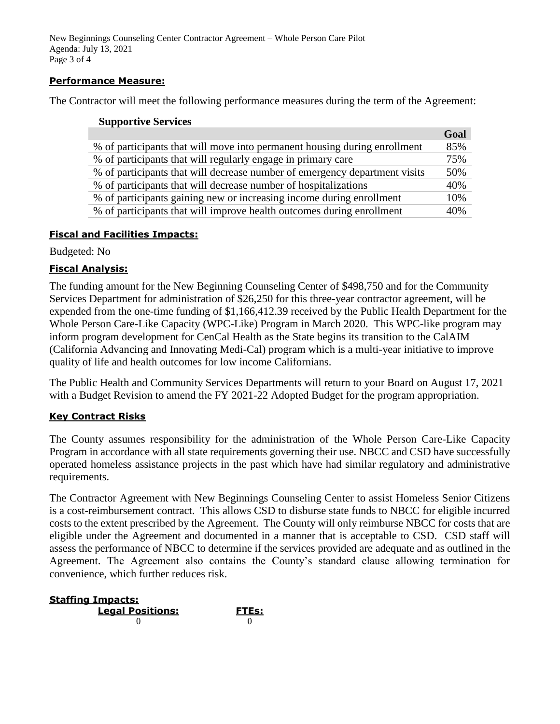New Beginnings Counseling Center Contractor Agreement – Whole Person Care Pilot Agenda: July 13, 2021 Page 3 of 4

### **Performance Measure:**

The Contractor will meet the following performance measures during the term of the Agreement:

|                                                                            | Goal |
|----------------------------------------------------------------------------|------|
| % of participants that will move into permanent housing during enrollment  | 85%  |
| % of participants that will regularly engage in primary care               | 75%  |
| % of participants that will decrease number of emergency department visits | 50%  |
| % of participants that will decrease number of hospitalizations            | 40%  |
| % of participants gaining new or increasing income during enrollment       | 10%  |
| % of participants that will improve health outcomes during enrollment      | 40%  |

#### **Fiscal and Facilities Impacts:**

Budgeted: No

#### **Fiscal Analysis:**

The funding amount for the New Beginning Counseling Center of \$498,750 and for the Community Services Department for administration of \$26,250 for this three-year contractor agreement, will be expended from the one-time funding of \$1,166,412.39 received by the Public Health Department for the Whole Person Care-Like Capacity (WPC-Like) Program in March 2020. This WPC-like program may inform program development for CenCal Health as the State begins its transition to the CalAIM (California Advancing and Innovating Medi-Cal) program which is a multi-year initiative to improve quality of life and health outcomes for low income Californians.

The Public Health and Community Services Departments will return to your Board on August 17, 2021 with a Budget Revision to amend the FY 2021-22 Adopted Budget for the program appropriation.

#### **Key Contract Risks**

The County assumes responsibility for the administration of the Whole Person Care-Like Capacity Program in accordance with all state requirements governing their use. NBCC and CSD have successfully operated homeless assistance projects in the past which have had similar regulatory and administrative requirements.

The Contractor Agreement with New Beginnings Counseling Center to assist Homeless Senior Citizens is a cost-reimbursement contract. This allows CSD to disburse state funds to NBCC for eligible incurred costs to the extent prescribed by the Agreement. The County will only reimburse NBCC for costs that are eligible under the Agreement and documented in a manner that is acceptable to CSD. CSD staff will assess the performance of NBCC to determine if the services provided are adequate and as outlined in the Agreement. The Agreement also contains the County's standard clause allowing termination for convenience, which further reduces risk.

| <b>Staffing Impacts:</b> |                    |  |  |
|--------------------------|--------------------|--|--|
| <b>Legal Positions:</b>  | FTE <sub>s</sub> : |  |  |
|                          |                    |  |  |